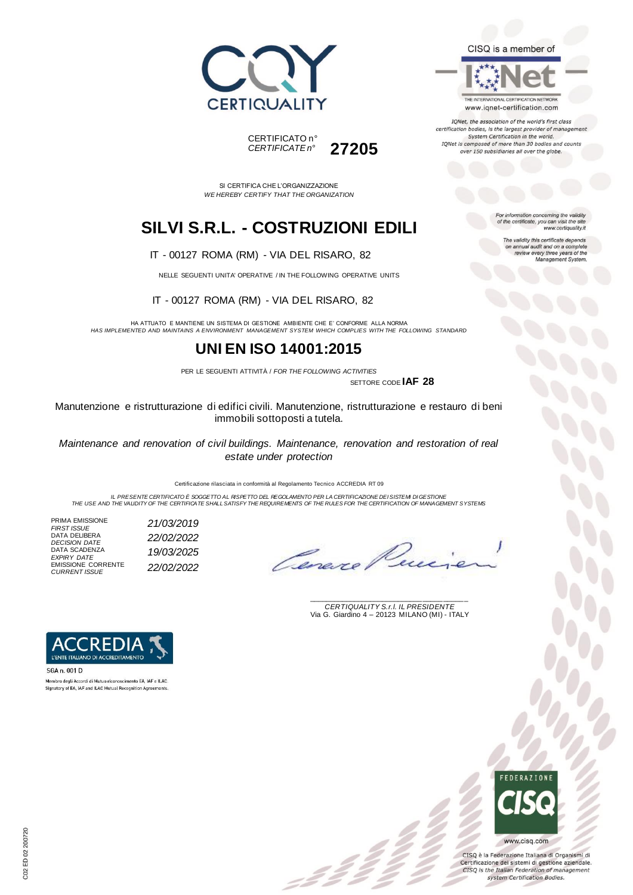



THE INTERNATIONAL CERTIFICATION NETWORK www.iqnet-certification.com

IQNet, the association of the world's first class certification bodies, is the largest provider of management System Certification in the world. IQNet is composed of more than 30 bodies and counts over 150 subsidiaries all over the globe.

For information concerning the validity<br>of the certificate, you can visit the site

The validity this certificate depends on annual audit and on a complete<br>review every three years of the<br>Management System.

www.certiquality.it

SI CERTIFICA CHE L'ORGANIZZAZIONE *WE HEREBY CERTIFY THAT THE ORGANIZATION*

CERTIFICATO n°

*CERTIFICATE n°* **27205**

### **SILVI S.R.L. - COSTRUZIONI EDILI**

IT - 00127 ROMA (RM) - VIA DEL RISARO, 82

NELLE SEGUENTI UNITA' OPERATIVE / IN THE FOLLOWING OPERATIVE UNITS

IT - 00127 ROMA (RM) - VIA DEL RISARO, 82

HA ATTUATO E MANTIENE UN SISTEMA DI GESTIONE AMBIENTE CHE E' CONFORME ALLA NORMA *HAS IMPLEMENTED AND MAINTAINS A ENVIRONMENT MANAGEMENT SYSTEM WHICH COMPLIES WITH THE FOLLOWING STANDARD*

### **UNI EN ISO 14001:2015**

PER LE SEGUENTI ATTIVITÀ / *FOR THE FOLLOWING ACTIVITIES* SETTORE CODE **IAF 28**

 $\mathcal{L}$ 

Manutenzione e ristrutturazione di edifici civili. Manutenzione, ristrutturazione e restauro di beni immobili sottoposti a tutela.

*Maintenance and renovation of civil buildings. Maintenance, renovation and restoration of real estate under protection*

Certificazione rilasciata in conformità al Regolamento Tecnico ACCREDIA RT 09

IL PRESENTE CERTIFICATO E SOGGETTO AL RISPETTO DEL REGOLAMENTO PER LA CERTIFICAZIONE DEI SISTEMI DI GESTIONE<br>THE USE AND THE VALIDITY OF THE CERTIFICATE SHALL SATISFY THE REQUIREMENTS OF THE RULES FOR THE CERTIFICATION OF

PRIMA EMISSIONE<br>FIRST ISSUE DATA DELIBERA *DECISION DATE 22/02/2022* DATA SCADENZA *EXPIRY DATE 19/03/2025* EMISSIONE CORRENTE *CURRENT ISSUE 22/02/2022*

*FIRST ISSUE 21/03/2019*

Cene

\_\_\_\_\_\_\_\_\_\_\_\_\_\_\_\_\_\_\_\_\_\_\_\_\_\_\_\_\_\_\_\_\_\_\_\_\_\_\_ *CERTIQUALITY S.r.l. IL PRESIDENTE* Via G. Giardino 4 – 20123 MILANO (MI) - ITALY



Membro degli Accordi di Mutuo riconoscimento EA, IAF e ILAC. Signatory of EA, IAF and ILAC Mutual Recognition Agreeme



CISQ è la Federazione Italiana di Organismi di Certificazione dei sistemi di gestione aziendale. CISQ is the Italian Federation of management system Certification Bodies.